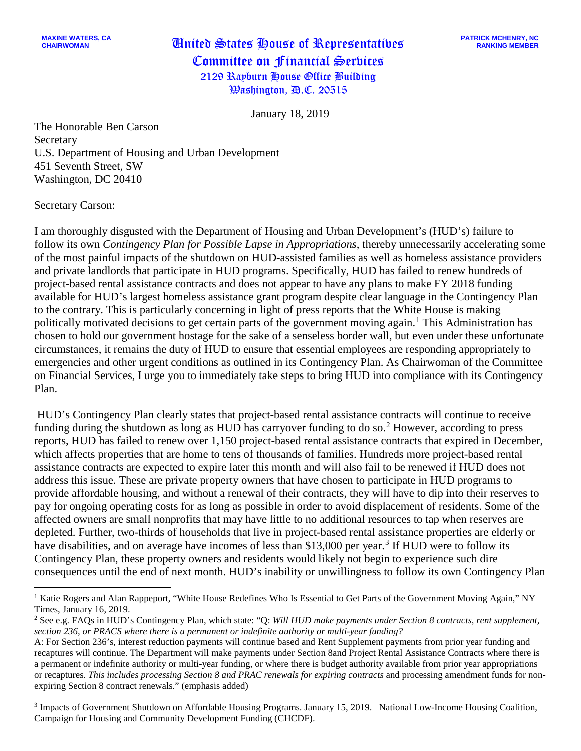January 18, 2019

The Honorable Ben Carson Secretary U.S. Department of Housing and Urban Development 451 Seventh Street, SW Washington, DC 20410

Secretary Carson:

I am thoroughly disgusted with the Department of Housing and Urban Development's (HUD's) failure to follow its own *Contingency Plan for Possible Lapse in Appropriations*, thereby unnecessarily accelerating some of the most painful impacts of the shutdown on HUD-assisted families as well as homeless assistance providers and private landlords that participate in HUD programs. Specifically, HUD has failed to renew hundreds of project-based rental assistance contracts and does not appear to have any plans to make FY 2018 funding available for HUD's largest homeless assistance grant program despite clear language in the Contingency Plan to the contrary. This is particularly concerning in light of press reports that the White House is making politically motivated decisions to get certain parts of the government moving again.<sup>[1](#page-0-0)</sup> This Administration has chosen to hold our government hostage for the sake of a senseless border wall, but even under these unfortunate circumstances, it remains the duty of HUD to ensure that essential employees are responding appropriately to emergencies and other urgent conditions as outlined in its Contingency Plan. As Chairwoman of the Committee on Financial Services, I urge you to immediately take steps to bring HUD into compliance with its Contingency Plan.

 HUD's Contingency Plan clearly states that project-based rental assistance contracts will continue to receive funding during the shutdown as long as HUD has carryover funding to do so.<sup>[2](#page-0-1)</sup> However, according to press reports, HUD has failed to renew over 1,150 project-based rental assistance contracts that expired in December, which affects properties that are home to tens of thousands of families. Hundreds more project-based rental assistance contracts are expected to expire later this month and will also fail to be renewed if HUD does not address this issue. These are private property owners that have chosen to participate in HUD programs to provide affordable housing, and without a renewal of their contracts, they will have to dip into their reserves to pay for ongoing operating costs for as long as possible in order to avoid displacement of residents. Some of the affected owners are small nonprofits that may have little to no additional resources to tap when reserves are depleted. Further, two-thirds of households that live in project-based rental assistance properties are elderly or have disabilities, and on average have incomes of less than \$1[3](#page-0-2),000 per year.<sup>3</sup> If HUD were to follow its Contingency Plan, these property owners and residents would likely not begin to experience such dire consequences until the end of next month. HUD's inability or unwillingness to follow its own Contingency Plan

<span id="page-0-2"></span><sup>3</sup> Impacts of Government Shutdown on Affordable Housing Programs. January 15, 2019. National Low-Income Housing Coalition, Campaign for Housing and Community Development Funding (CHCDF).

<span id="page-0-0"></span><sup>&</sup>lt;sup>1</sup> Katie Rogers and Alan Rappeport, "White House Redefines Who Is Essential to Get Parts of the Government Moving Again," NY Times, January 16, 2019.

<span id="page-0-1"></span><sup>2</sup> See e.g. FAQs in HUD's Contingency Plan, which state: "Q: *Will HUD make payments under Section 8 contracts, rent supplement, section 236, or PRACS where there is a permanent or indefinite authority or multi-year funding?* 

A: For Section 236's, interest reduction payments will continue based and Rent Supplement payments from prior year funding and recaptures will continue. The Department will make payments under Section 8and Project Rental Assistance Contracts where there is a permanent or indefinite authority or multi-year funding, or where there is budget authority available from prior year appropriations or recaptures. *This includes processing Section 8 and PRAC renewals for expiring contracts* and processing amendment funds for nonexpiring Section 8 contract renewals." (emphasis added)